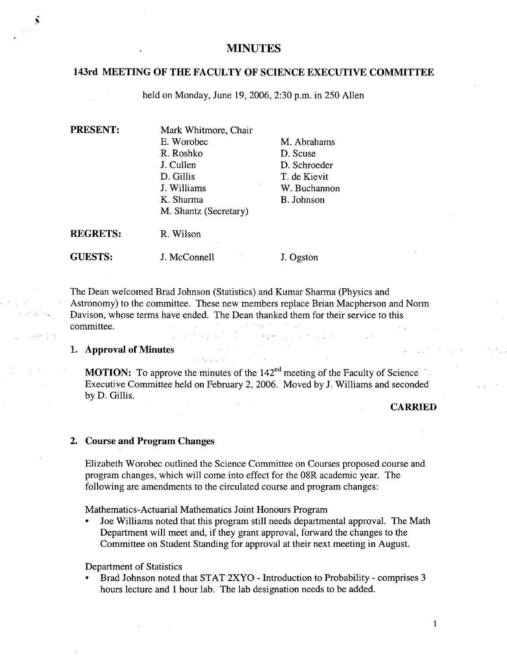# **MINUTES**

### **143rd MEETING OF THE FACULTY OF SCIENCE EXECUTIVE COMMITTEE**

held on Monday, June 19, 2006, 2:30 p.m. in 250 Allen

| <b>PRESENT:</b> | Mark Whitmore, Chair  |              |  |
|-----------------|-----------------------|--------------|--|
|                 | E. Worobec            | M. Abrahams  |  |
|                 | R. Roshko             | D. Scuse     |  |
|                 | J. Cullen             | D. Schroeder |  |
|                 | D. Gillis             | T. de Kievit |  |
|                 | J. Williams           | W. Buchannon |  |
|                 | K. Sharma             | B. Johnson   |  |
|                 | M. Shantz (Secretary) |              |  |
| <b>REGRETS:</b> | R. Wilson             |              |  |
| <b>GUESTS:</b>  | J. McConnell          | J. Ogston    |  |

The Dean welcomed Brad Johnson (Statistics) and Kumar Sharma (Physics and Astronomy) to the committee. These new members replace Brian Macpherson and Norm Davison, whose terms have ended. The Dean thanked them for their service to this committee.  $\alpha \gtrsim 35$  $\frac{1}{2} \left( \frac{1}{2} \right)$  $\mathcal{F}(\mathcal{L}_\mathcal{A})$  ,  $\mathcal{F}(\mathcal{L}_\mathcal{A})$  , and

#### **Approval of Minutes**

**MOTION:** To approve the minutes of the 142<sup>nd</sup> meeting of the Faculty of Science Executive Committee held on February 2, 2006. Moved by J. Williams and seconded by D. Gillis.

### **CARRIED**

### **Course and Program Changes**

Elizabeth Worobec outlined the Science Committee on Courses proposed course and program changes, which will come into effect for the 08R academic year. The following are amendments to the circulated course and program changes:

Mathematics-Actuarial Mathematics Joint Honours Program

Joe Williams noted that this program still needs departmental approval. The Math Department will meet and, if they grant approval, forward the changes to the Committee on Student Standing for approval at their next meeting in August.

Department of Statistics

Brad Johnson noted that STAT 2XYO - Introduction to Probability - comprises 3 hours lecture and 1 hour lab. The lab designation needs to be added.

Ñ

provincia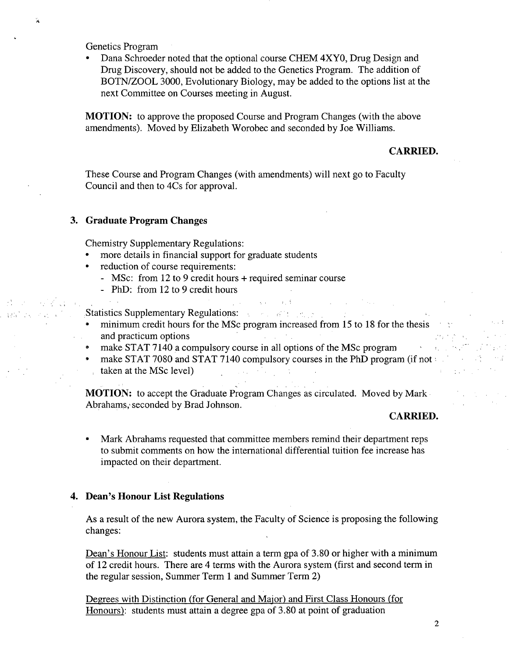Genetics Program

r(.

tentical contract

Dana Schroeder noted that the optional course CHEM 4XYO, Drug Design and Drug Discovery, should not be added to the Genetics Program. The addition of BOTN/ZOOL 3000, Evolutionary Biology, may be added to the options list at the next Committee on Courses meeting in August.

**MOTION:** to approve the proposed Course and Program Changes (with the above amendments). Moved by Elizabeth Worohec and seconded by Joe Williams.

# **CARRIED.**

These Course and Program Changes (with amendments) will next go to Faculty Council and then to 4Cs for approval.

### **3. Graduate Program Changes**

Chemistry Supplementary Regulations:

- more details in financial support for graduate students
- reduction of course requirements:
	- MSc: from 12 to 9 credit hours + required seminar course
	- PhD: from 12 to 9 credit hours
- Statistics Supplementary Regulations: •. .•
- minimum credit hours for the MSc program increased from 15 to 18 for the thesis and practicum options
- make STAT 7140 a compulsory course in all options of the MSc program
- make STAT 7080 and STAT 7140 compulsory courses in the PhD program (if not taken at the MSc level)

**MOTION:** to accept the Graduate Program Changes as circulated. Moved by Mark Abrahams,' seconded by Brad Johnson.

#### **CARRIED.**

**Contract** 

 $\bar{A}^{\mu\nu}$ 

Mark Abrahams requested that committee members remind their department reps to submit comments on how the international differential tuition fee increase has impacted on their department.

#### **4. Dean's Honour List Regulations**

As a result of the new Aurora system, the Faculty of Science is proposing the following changes:

Dean's Honour List: students must attain a term gpa of 3.80 or higher with a minimum of 12 credit hours. There are 4 terms with the Aurora system (first and second term in the regular session, Summer Term 1 and Summer Term 2)

Degrees with Distinction (for General and Major) and First Class Honours (for Honours): students must attain a degree gpa of 3.80 at point of graduation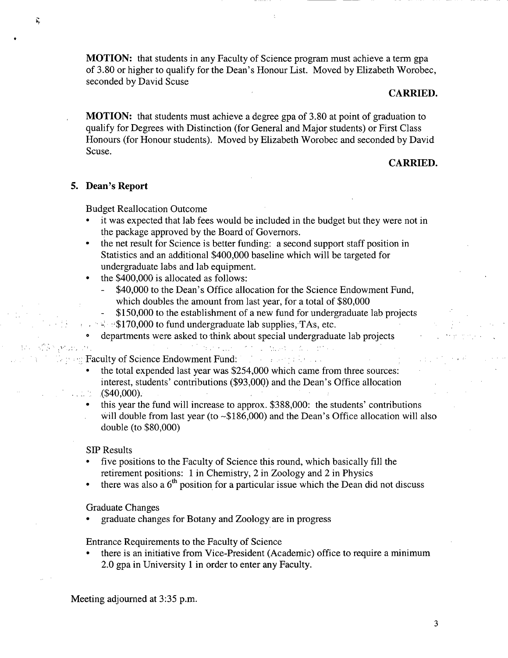**MOTION:** that students in any Faculty of Science program must achieve a term gpa of 3.80 or higher to qualify for the Dean's Honour List. Moved by Elizabeth Worobec, seconded by David Scuse

### **CARRIED.**

**MOTION:** that students must achieve a degree gpa of 3.80 at point of graduation to qualify for Degrees with Distinction (for General and Major students) or First Class Honours (for Honour students). Moved by Elizabeth Worobec and seconded by David Scuse.

## **CARRIED.**

### *5.* **Dean's Report**

Budget Reallocation Outcome

- it was expected that lab fees would be included in the budget but they were not in the package approved by the Board of Governors.
- the net result for Science is better funding: a second support staff position in Statistics and an additional \$400,000 baseline which will be targeted for undergraduate labs and lab equipment.
- the \$400,000 is allocated as follows:
	- \$40,000 to the Dean's Office allocation for the Science Endowment Fund, which doubles the amount from last year, for a total of \$80,000
		- \$150,000 to the establishment of a new fund for undergraduate lab projects

the company for any conthe company of the company

 $\therefore$ : \$170,000 to fund undergraduate lab supplies, TAs, etc.

 $\mathcal{F}^{(1)}$  ,  $\mathcal{F}_{\mathbf{F}}$  ,  $\mathcal{F}_{\mathbf{F}}$  ,  $\mathcal{F}_{\mathbf{F}}$  ,  $\mathcal{F}_{\mathbf{F}}$  ,

departments were asked to think about special undergraduate lab projects

Faculty of Science Endowment Fund:

- the total expended last year was \$254,000 which came from three sources: interest, students' contributions (\$93,000) and the Dean's Office allocation (\$40,000).
- this year the fund will increase to approx. \$388,000: the students' contributions will double from last year (to ~\$186,000) and the Dean's Office allocation will also double (to \$80,000)

#### SIP Results

problem.

- five positions to the Faculty of Science this round, which basically fill the retirement positions: 1 in Chemistry, 2 in Zoology and 2 in Physics
- there was also a  $6<sup>th</sup>$  position for a particular issue which the Dean did not discuss

#### Graduate Changes

graduate changes for Botany and Zoology are in progress

Entrance Requirements to the Faculty of Science

there is an initiative from Vice-President (Academic) office to require a minimum 2.0 gpa in University 1 in order to enter any Faculty.

Meeting adjourned at 3:35 p.m.